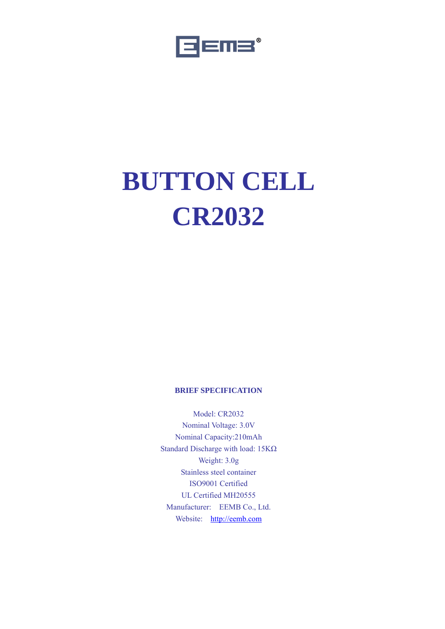

# **BUTTON CELL CR2032**

# **BRIEF SPECIFICATION**

Model: CR2032 Nominal Voltage: 3.0V Nominal Capacity:210mAh Standard Discharge with load: 15KΩ Weight: 3.0g Stainless steel container ISO9001 Certified UL Certified MH20555 Manufacturer: EEMB Co., Ltd. Website: http://eemb.com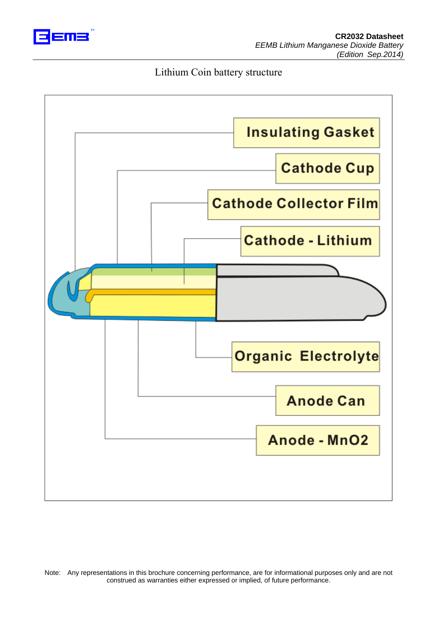

# Lithium Coin battery structure

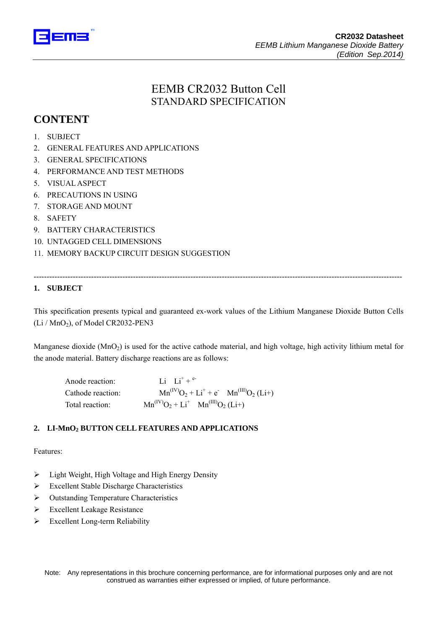

# EEMB CR2032 Button Cell STANDARD SPECIFICATION

# **CONTENT**

- 1. SUBJECT
- 2. GENERAL FEATURES AND APPLICATIONS
- 3. GENERAL SPECIFICATIONS
- 4. PERFORMANCE AND TEST METHODS
- 5. VISUAL ASPECT
- 6. PRECAUTIONS IN USING
- 7. STORAGE AND MOUNT
- 8. SAFETY
- 9. BATTERY CHARACTERISTICS
- 10. UNTAGGED CELL DIMENSIONS
- 11. MEMORY BACKUP CIRCUIT DESIGN SUGGESTION

# **1. SUBJECT**

This specification presents typical and guaranteed ex-work values of the Lithium Manganese Dioxide Button Cells  $(Li / MnO<sub>2</sub>)$ , of Model CR2032-PEN3

---------------------------------------------------------------------------------------------------------------------------------------------

Manganese dioxide (MnO<sub>2</sub>) is used for the active cathode material, and high voltage, high activity lithium metal for the anode material. Battery discharge reactions are as follows:

| Anode reaction:   | Li Li <sup>+</sup> + <sup>e-</sup>              |
|-------------------|-------------------------------------------------|
| Cathode reaction: | $Mn^{(IV)}O_2 + Li^+ + e^ Mn^{(III)}O_2 (Li^+)$ |
| Total reaction:   | $Mn^{(IV)}O_2 + Li^+$ $Mn^{(III)}O_2$ (Li+)     |

# **2. LI-MnO2 BUTTON CELL FEATURES AND APPLICATIONS**

#### Features:

- $\triangleright$  Light Weight, High Voltage and High Energy Density
- ¾ Excellent Stable Discharge Characteristics
- ¾ Outstanding Temperature Characteristics
- $\triangleright$  Excellent Leakage Resistance
- $\triangleright$  Excellent Long-term Reliability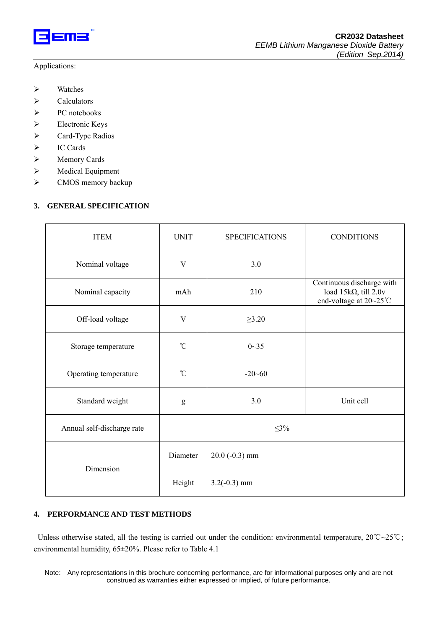

#### Applications:

- $\triangleright$  Watches
- $\triangleright$  Calculators
- ¾ PC notebooks
- ¾ Electronic Keys
- $\triangleright$  Card-Type Radios
- ¾ IC Cards
- ¾ Memory Cards
- ¾ Medical Equipment
- ¾ CMOS memory backup

# **3. GENERAL SPECIFICATION**

| <b>ITEM</b>                | <b>UNIT</b>     | <b>SPECIFICATIONS</b> | <b>CONDITIONS</b>                                                                   |  |  |
|----------------------------|-----------------|-----------------------|-------------------------------------------------------------------------------------|--|--|
| Nominal voltage            | 3.0<br>V        |                       |                                                                                     |  |  |
| Nominal capacity           | mAh             | 210                   | Continuous discharge with<br>load $15k\Omega$ , till 2.0v<br>end-voltage at 20~25°C |  |  |
| Off-load voltage           | V               | $\geq 3.20$           |                                                                                     |  |  |
| Storage temperature        | $^{\circ}$ C    | $0 - 35$              |                                                                                     |  |  |
| Operating temperature      | $\rm ^{\circ}C$ | $-20 - 60$            |                                                                                     |  |  |
| Standard weight            | g               | 3.0                   | Unit cell                                                                           |  |  |
| Annual self-discharge rate | $\leq$ 3%       |                       |                                                                                     |  |  |
| Dimension                  | Diameter        | $20.0$ (-0.3) mm      |                                                                                     |  |  |
|                            | Height          | $3.2(-0.3)$ mm        |                                                                                     |  |  |

# **4. PERFORMANCE AND TEST METHODS**

 Unless otherwise stated, all the testing is carried out under the condition: environmental temperature, 20℃~25℃; environmental humidity, 65±20%. Please refer to Table 4.1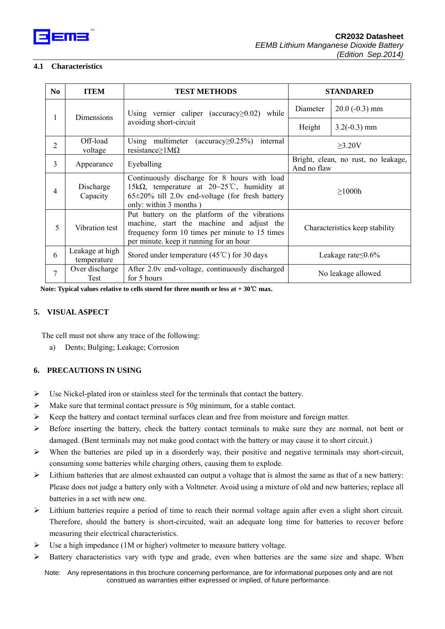

#### **4.1 Characteristics**

| N <sub>0</sub>  | <b>ITEM</b>                                        | <b>TEST METHODS</b>                                                                                                                                                                                 | <b>STANDARED</b>                                   |                |
|-----------------|----------------------------------------------------|-----------------------------------------------------------------------------------------------------------------------------------------------------------------------------------------------------|----------------------------------------------------|----------------|
| Dimensions<br>1 | Using vernier caliper (accuracy $\geq$ 0.02) while | Diameter                                                                                                                                                                                            | $20.0$ (-0.3) mm                                   |                |
|                 |                                                    | avoiding short-circuit                                                                                                                                                                              | Height                                             | $3.2(-0.3)$ mm |
| $\overline{c}$  | Off-load<br>voltage                                | Using multimeter (accuracy $\geq$ 0.25%)<br>internal<br>resistance $\geq$ 1M $\Omega$                                                                                                               | $\geq$ 3.20V                                       |                |
| 3               | Appearance                                         | Eyeballing                                                                                                                                                                                          | Bright, clean, no rust, no leakage,<br>And no flaw |                |
| 4               | Discharge<br>Capacity                              | Continuously discharge for 8 hours with load<br>15k $\Omega$ , temperature at $20 \sim 25^{\circ}$ C, humidity at<br>$65\pm20\%$ till 2.0v end-voltage (for fresh battery<br>only: within 3 months) | >1000h                                             |                |
| 5               | Vibration test                                     | Put battery on the platform of the vibrations<br>machine, start the machine and adjust the<br>frequency form 10 times per minute to 15 times<br>per minute. keep it running for an hour             | Characteristics keep stability                     |                |
| 6               | Leakage at high<br>temperature                     | Stored under temperature $(45^{\circ}\text{C})$ for 30 days                                                                                                                                         | Leakage rate $\leq$ 0.6%                           |                |
| 7               | Over discharge<br>Test                             | After 2.0v end-voltage, continuously discharged<br>No leakage allowed<br>for 5 hours                                                                                                                |                                                    |                |

**Note: Typical values relative to cells stored for three month or less at + 30**℃ **max.** 

#### **5. VISUAL ASPECT**

The cell must not show any trace of the following:

a) Dents; Bulging; Leakage; Corrosion

#### **6. PRECAUTIONS IN USING**

- $\triangleright$  Use Nickel-plated iron or stainless steel for the terminals that contact the battery.
- $\triangleright$  Make sure that terminal contact pressure is 50g minimum, for a stable contact.
- ¾ Keep the battery and contact terminal surfaces clean and free from moisture and foreign matter.
- ¾ Before inserting the battery, check the battery contact terminals to make sure they are normal, not bent or damaged. (Bent terminals may not make good contact with the battery or may cause it to short circuit.)
- $\triangleright$  When the batteries are piled up in a disorderly way, their positive and negative terminals may short-circuit, consuming some batteries while charging others, causing them to explode.
- ¾ Lithium batteries that are almost exhausted can output a voltage that is almost the same as that of a new battery: Please does not judge a battery only with a Voltmeter. Avoid using a mixture of old and new batteries; replace all batteries in a set with new one.
- ¾ Lithium batteries require a period of time to reach their normal voltage again after even a slight short circuit. Therefore, should the battery is short-circuited, wait an adequate long time for batteries to recover before measuring their electrical characteristics.
- $\triangleright$  Use a high impedance (1M or higher) voltmeter to measure battery voltage.
- $\triangleright$  Battery characteristics vary with type and grade, even when batteries are the same size and shape. When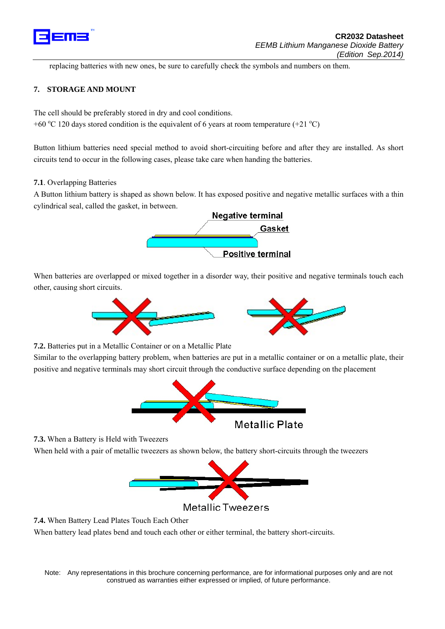

replacing batteries with new ones, be sure to carefully check the symbols and numbers on them.

#### **7. STORAGE AND MOUNT**

The cell should be preferably stored in dry and cool conditions.

+60 °C 120 days stored condition is the equivalent of 6 years at room temperature  $(+21 \degree C)$ 

Button lithium batteries need special method to avoid short-circuiting before and after they are installed. As short circuits tend to occur in the following cases, please take care when handing the batteries.

#### **7.1**. Overlapping Batteries

A Button lithium battery is shaped as shown below. It has exposed positive and negative metallic surfaces with a thin cylindrical seal, called the gasket, in between.



When batteries are overlapped or mixed together in a disorder way, their positive and negative terminals touch each other, causing short circuits.



**7.2.** Batteries put in a Metallic Container or on a Metallic Plate

Similar to the overlapping battery problem, when batteries are put in a metallic container or on a metallic plate, their positive and negative terminals may short circuit through the conductive surface depending on the placement



**7.3.** When a Battery is Held with Tweezers

When held with a pair of metallic tweezers as shown below, the battery short-circuits through the tweezers



**Metallic Tweezers** 

**7.4.** When Battery Lead Plates Touch Each Other

When battery lead plates bend and touch each other or either terminal, the battery short-circuits.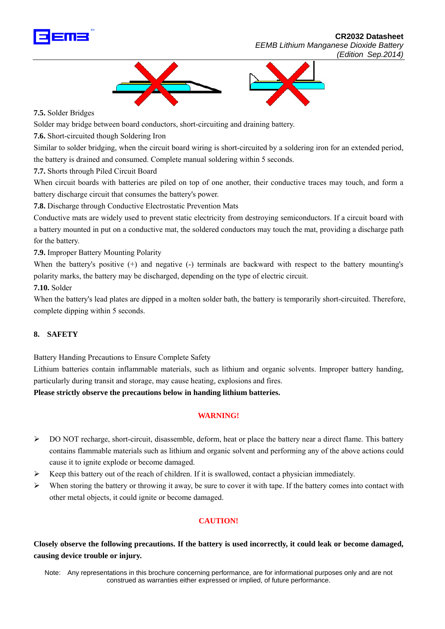

 **CR2032 Datasheet**  *EEMB Lithium Manganese Dioxide Battery (Edition Sep.2014)*



**7.5.** Solder Bridges

Solder may bridge between board conductors, short-circuiting and draining battery.

**7.6.** Short-circuited though Soldering Iron

Similar to solder bridging, when the circuit board wiring is short-circuited by a soldering iron for an extended period, the battery is drained and consumed. Complete manual soldering within 5 seconds.

**7.7.** Shorts through Piled Circuit Board

When circuit boards with batteries are piled on top of one another, their conductive traces may touch, and form a battery discharge circuit that consumes the battery's power.

**7.8.** Discharge through Conductive Electrostatic Prevention Mats

Conductive mats are widely used to prevent static electricity from destroying semiconductors. If a circuit board with a battery mounted in put on a conductive mat, the soldered conductors may touch the mat, providing a discharge path for the battery.

**7.9.** Improper Battery Mounting Polarity

When the battery's positive (+) and negative (-) terminals are backward with respect to the battery mounting's polarity marks, the battery may be discharged, depending on the type of electric circuit.

**7.10.** Solder

When the battery's lead plates are dipped in a molten solder bath, the battery is temporarily short-circuited. Therefore, complete dipping within 5 seconds.

#### **8. SAFETY**

Battery Handing Precautions to Ensure Complete Safety

Lithium batteries contain inflammable materials, such as lithium and organic solvents. Improper battery handing, particularly during transit and storage, may cause heating, explosions and fires.

**Please strictly observe the precautions below in handing lithium batteries.** 

#### **WARNING!**

- ¾ DO NOT recharge, short-circuit, disassemble, deform, heat or place the battery near a direct flame. This battery contains flammable materials such as lithium and organic solvent and performing any of the above actions could cause it to ignite explode or become damaged.
- $\triangleright$  Keep this battery out of the reach of children. If it is swallowed, contact a physician immediately.
- $\triangleright$  When storing the battery or throwing it away, be sure to cover it with tape. If the battery comes into contact with other metal objects, it could ignite or become damaged.

# **CAUTION!**

**Closely observe the following precautions. If the battery is used incorrectly, it could leak or become damaged, causing device trouble or injury.**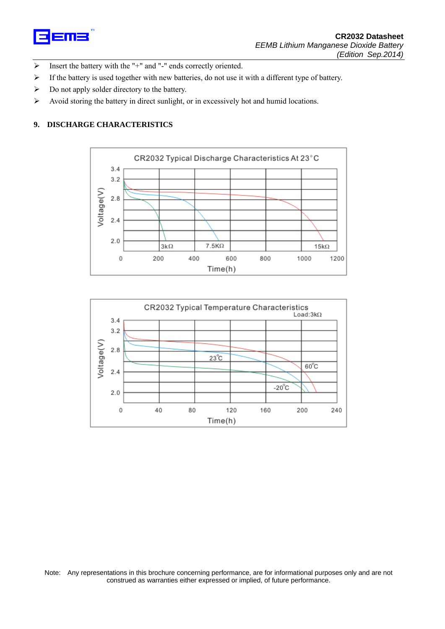

- $\triangleright$  Insert the battery with the "+" and "-" ends correctly oriented.
- ¾ If the battery is used together with new batteries, do not use it with a different type of battery.
- $\triangleright$  Do not apply solder directory to the battery.
- ¾ Avoid storing the battery in direct sunlight, or in excessively hot and humid locations.

#### **9. DISCHARGE CHARACTERISTICS**



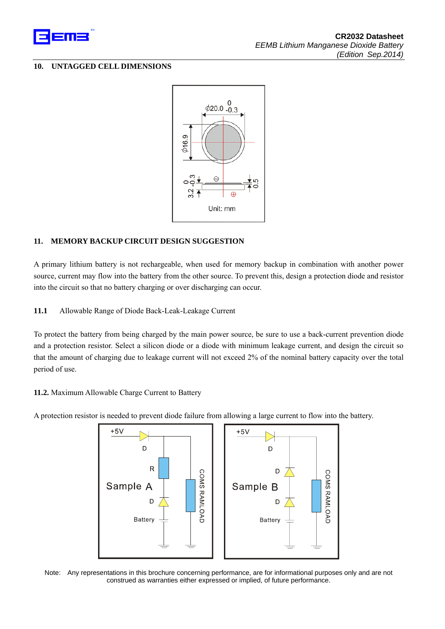

#### **10. UNTAGGED CELL DIMENSIONS**



# **11. MEMORY BACKUP CIRCUIT DESIGN SUGGESTION**

A primary lithium battery is not rechargeable, when used for memory backup in combination with another power source, current may flow into the battery from the other source. To prevent this, design a protection diode and resistor into the circuit so that no battery charging or over discharging can occur.

**11.1** Allowable Range of Diode Back-Leak-Leakage Current

To protect the battery from being charged by the main power source, be sure to use a back-current prevention diode and a protection resistor. Select a silicon diode or a diode with minimum leakage current, and design the circuit so that the amount of charging due to leakage current will not exceed 2% of the nominal battery capacity over the total period of use.

#### **11.2.** Maximum Allowable Charge Current to Battery

A protection resistor is needed to prevent diode failure from allowing a large current to flow into the battery.



Note: Any representations in this brochure concerning performance, are for informational purposes only and are not construed as warranties either expressed or implied, of future performance.